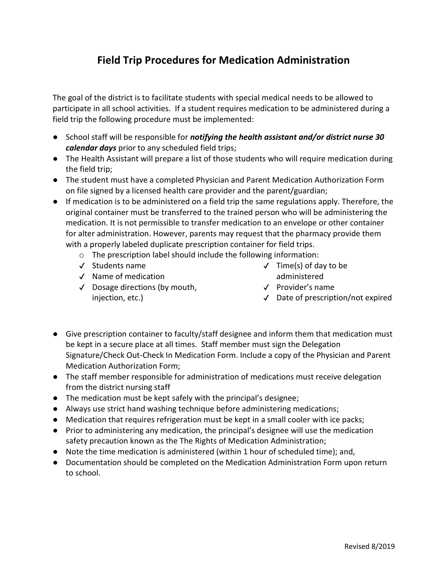# Field Trip Procedures for Medication Administration

The goal of the district is to facilitate students with special medical needs to be allowed to participate in all school activities. If a student requires medication to be administered during a field trip the following procedure must be implemented:

- School staff will be responsible for *notifying the health assistant and/or district nurse 30* calendar days prior to any scheduled field trips;
- The Health Assistant will prepare a list of those students who will require medication during the field trip;
- The student must have a completed Physician and Parent Medication Authorization Form on file signed by a licensed health care provider and the parent/guardian;
- If medication is to be administered on a field trip the same regulations apply. Therefore, the original container must be transferred to the trained person who will be administering the medication. It is not permissible to transfer medication to an envelope or other container for alter administration. However, parents may request that the pharmacy provide them with a properly labeled duplicate prescription container for field trips.
	- o The prescription label should include the following information:
	- ✔ Students name
	- ✔ Name of medication
	- ✔ Dosage directions (by mouth, injection, etc.)
- $\checkmark$  Time(s) of day to be administered
- ✔ Provider's name
- ✔ Date of prescription/not expired
- Give prescription container to faculty/staff designee and inform them that medication must be kept in a secure place at all times. Staff member must sign the Delegation Signature/Check Out-Check In Medication Form. Include a copy of the Physician and Parent Medication Authorization Form;
- The staff member responsible for administration of medications must receive delegation from the district nursing staff
- The medication must be kept safely with the principal's designee;
- Always use strict hand washing technique before administering medications;
- Medication that requires refrigeration must be kept in a small cooler with ice packs;
- Prior to administering any medication, the principal's designee will use the medication safety precaution known as the The Rights of Medication Administration;
- Note the time medication is administered (within 1 hour of scheduled time); and,
- Documentation should be completed on the Medication Administration Form upon return to school.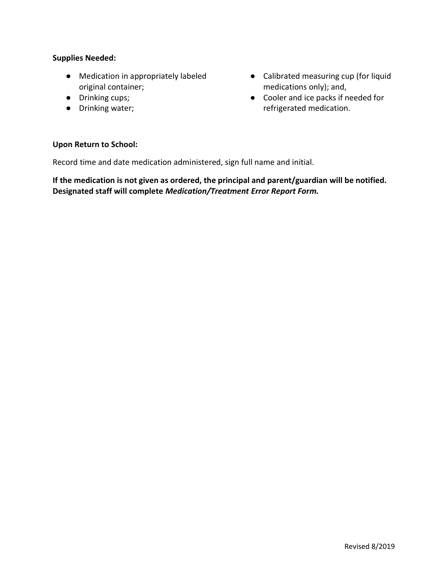#### Supplies Needed:

- Medication in appropriately labeled original container;
- Drinking cups;
- Drinking water;
- Calibrated measuring cup (for liquid medications only); and,
- Cooler and ice packs if needed for refrigerated medication.

#### Upon Return to School:

Record time and date medication administered, sign full name and initial.

If the medication is not given as ordered, the principal and parent/guardian will be notified. Designated staff will complete Medication/Treatment Error Report Form.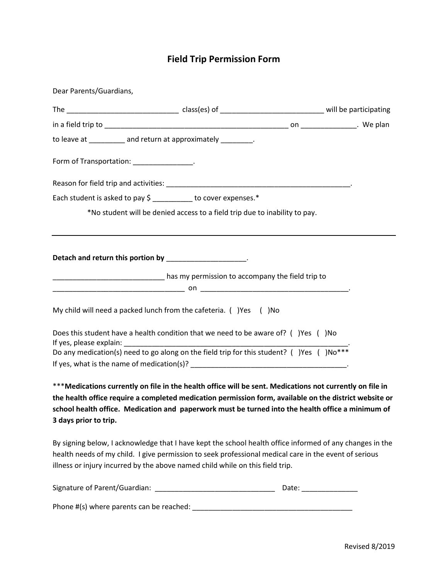# Field Trip Permission Form

| Dear Parents/Guardians,                                                                                                                                                                                                                                                                                                                           |                                                                            |  |
|---------------------------------------------------------------------------------------------------------------------------------------------------------------------------------------------------------------------------------------------------------------------------------------------------------------------------------------------------|----------------------------------------------------------------------------|--|
|                                                                                                                                                                                                                                                                                                                                                   |                                                                            |  |
|                                                                                                                                                                                                                                                                                                                                                   |                                                                            |  |
| to leave at __________ and return at approximately _________.                                                                                                                                                                                                                                                                                     |                                                                            |  |
| Form of Transportation: ________________.                                                                                                                                                                                                                                                                                                         |                                                                            |  |
|                                                                                                                                                                                                                                                                                                                                                   |                                                                            |  |
| Each student is asked to pay \$ ________ to cover expenses.*                                                                                                                                                                                                                                                                                      |                                                                            |  |
|                                                                                                                                                                                                                                                                                                                                                   | *No student will be denied access to a field trip due to inability to pay. |  |
| Detach and return this portion by ___________________.                                                                                                                                                                                                                                                                                            |                                                                            |  |
| has my permission to accompany the field trip to more contained as the state of the field trip to                                                                                                                                                                                                                                                 |                                                                            |  |
| My child will need a packed lunch from the cafeteria. () Yes () No                                                                                                                                                                                                                                                                                |                                                                            |  |
| Does this student have a health condition that we need to be aware of? ()Yes () No                                                                                                                                                                                                                                                                |                                                                            |  |
| Do any medication(s) need to go along on the field trip for this student? ( )Yes ( )No***                                                                                                                                                                                                                                                         |                                                                            |  |
| *** Medications currently on file in the health office will be sent. Medications not currently on file in<br>the health office require a completed medication permission form, available on the district website or<br>school health office. Medication and paperwork must be turned into the health office a minimum of<br>3 days prior to trip. |                                                                            |  |
| By signing below, I acknowledge that I have kept the school health office informed of any changes in the<br>health needs of my child. I give permission to seek professional medical care in the event of serious<br>illness or injury incurred by the above named child while on this field trip.                                                |                                                                            |  |
|                                                                                                                                                                                                                                                                                                                                                   |                                                                            |  |
|                                                                                                                                                                                                                                                                                                                                                   |                                                                            |  |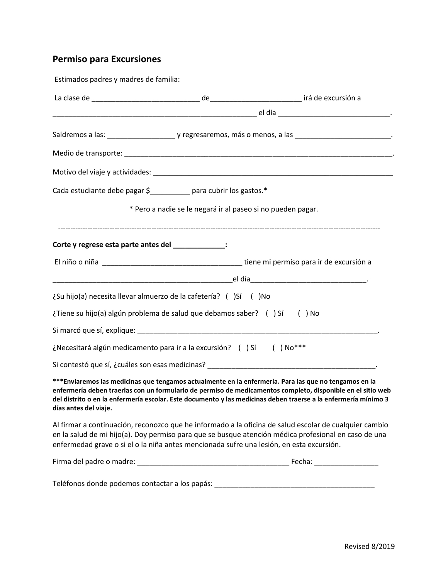# Permiso para Excursiones

| Estimados padres y madres de familia:                                                    |                                                             |                                                                                                                                                                                                                                                                                                                                        |
|------------------------------------------------------------------------------------------|-------------------------------------------------------------|----------------------------------------------------------------------------------------------------------------------------------------------------------------------------------------------------------------------------------------------------------------------------------------------------------------------------------------|
|                                                                                          |                                                             |                                                                                                                                                                                                                                                                                                                                        |
|                                                                                          |                                                             |                                                                                                                                                                                                                                                                                                                                        |
|                                                                                          |                                                             |                                                                                                                                                                                                                                                                                                                                        |
|                                                                                          |                                                             |                                                                                                                                                                                                                                                                                                                                        |
|                                                                                          |                                                             |                                                                                                                                                                                                                                                                                                                                        |
| Cada estudiante debe pagar \$__________ para cubrir los gastos.*                         |                                                             |                                                                                                                                                                                                                                                                                                                                        |
|                                                                                          | * Pero a nadie se le negará ir al paseo si no pueden pagar. |                                                                                                                                                                                                                                                                                                                                        |
| Corte y regrese esta parte antes del _____________:                                      |                                                             |                                                                                                                                                                                                                                                                                                                                        |
|                                                                                          |                                                             |                                                                                                                                                                                                                                                                                                                                        |
|                                                                                          |                                                             |                                                                                                                                                                                                                                                                                                                                        |
| ¿Su hijo(a) necesita llevar almuerzo de la cafetería? ()Sí () No                         |                                                             |                                                                                                                                                                                                                                                                                                                                        |
| ¿Tiene su hijo(a) algún problema de salud que debamos saber? () Sí () No                 |                                                             |                                                                                                                                                                                                                                                                                                                                        |
|                                                                                          |                                                             |                                                                                                                                                                                                                                                                                                                                        |
| ¿Necesitará algún medicamento para ir a la excursión? () Sí () No***                     |                                                             |                                                                                                                                                                                                                                                                                                                                        |
|                                                                                          |                                                             |                                                                                                                                                                                                                                                                                                                                        |
| días antes del viaje.                                                                    |                                                             | ***Enviaremos las medicinas que tengamos actualmente en la enfermería. Para las que no tengamos en la<br>enfermería deben traerlas con un formulario de permiso de medicamentos completo, disponible en el sitio web<br>del distrito o en la enfermería escolar. Este documento y las medicinas deben traerse a la enfermería mínimo 3 |
| enfermedad grave o si el o la niña antes mencionada sufre una lesión, en esta excursión. |                                                             | Al firmar a continuación, reconozco que he informado a la oficina de salud escolar de cualquier cambio<br>en la salud de mi hijo(a). Doy permiso para que se busque atención médica profesional en caso de una                                                                                                                         |
|                                                                                          |                                                             |                                                                                                                                                                                                                                                                                                                                        |
|                                                                                          |                                                             | Teléfonos donde podemos contactar a los papás: __________________________________                                                                                                                                                                                                                                                      |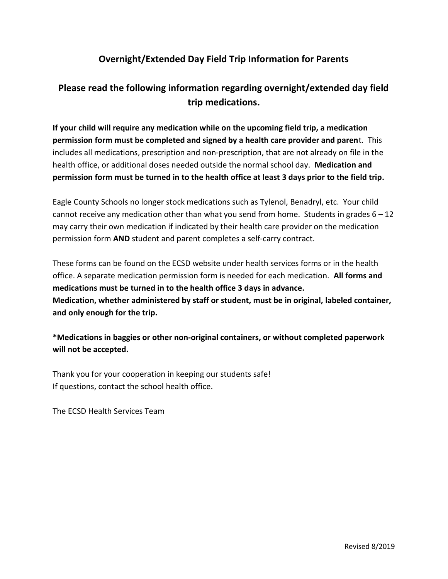### Overnight/Extended Day Field Trip Information for Parents

## Please read the following information regarding overnight/extended day field trip medications.

If your child will require any medication while on the upcoming field trip, a medication permission form must be completed and signed by a health care provider and parent. This includes all medications, prescription and non-prescription, that are not already on file in the health office, or additional doses needed outside the normal school day. Medication and permission form must be turned in to the health office at least 3 days prior to the field trip.

Eagle County Schools no longer stock medications such as Tylenol, Benadryl, etc. Your child cannot receive any medication other than what you send from home. Students in grades  $6 - 12$ may carry their own medication if indicated by their health care provider on the medication permission form AND student and parent completes a self-carry contract.

These forms can be found on the ECSD website under health services forms or in the health office. A separate medication permission form is needed for each medication. All forms and medications must be turned in to the health office 3 days in advance. Medication, whether administered by staff or student, must be in original, labeled container, and only enough for the trip.

\*Medications in baggies or other non-original containers, or without completed paperwork will not be accepted.

Thank you for your cooperation in keeping our students safe! If questions, contact the school health office.

The ECSD Health Services Team